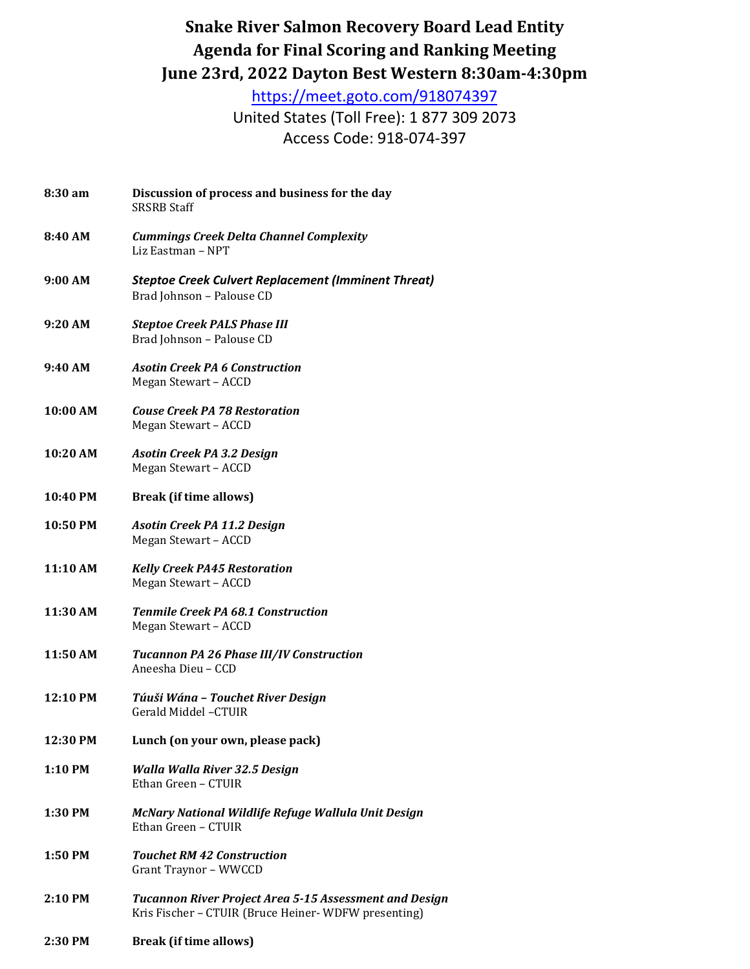## **Snake River Salmon Recovery Board Lead Entity Agenda for Final Scoring and Ranking Meeting June 23rd, 2022 Dayton Best Western 8:30am-4:30pm**

<https://meet.goto.com/918074397>

United States (Toll Free): 1 877 309 2073 Access Code: 918-074-397

- **8:30 am Discussion of process and business for the day** SRSRB Staff **8:40 AM** *Cummings Creek Delta Channel Complexity*  Liz Eastman – NPT **9:00 AM** *Steptoe Creek Culvert Replacement (Imminent Threat)* Brad Johnson – Palouse CD **9:20 AM** *Steptoe Creek PALS Phase III* Brad Johnson – Palouse CD **9:40 AM** *Asotin Creek PA 6 Construction* Megan Stewart – ACCD **10:00 AM** *Couse Creek PA 78 Restoration* Megan Stewart – ACCD **10:20 AM** *Asotin Creek PA 3.2 Design* Megan Stewart – ACCD **10:40 PM Break (if time allows) 10:50 PM** *Asotin Creek PA 11.2 Design* Megan Stewart – ACCD **11:10 AM** *Kelly Creek PA45 Restoration* Megan Stewart – ACCD **11:30 AM** *Tenmile Creek PA 68.1 Construction* Megan Stewart – ACCD **11:50 AM** *Tucannon PA 26 Phase III/IV Construction* Aneesha Dieu – CCD **12:10 PM** *Túuši Wána – Touchet River Design* Gerald Middel –CTUIR **12:30 PM Lunch (on your own, please pack) 1:10 PM** *Walla Walla River 32.5 Design*  Ethan Green – CTUIR **1:30 PM** *McNary National Wildlife Refuge Wallula Unit Design* Ethan Green – CTUIR **1:50 PM** *Touchet RM 42 Construction* Grant Traynor – WWCCD **2:10 PM** *Tucannon River Project Area 5-15 Assessment and Design* Kris Fischer – CTUIR (Bruce Heiner- WDFW presenting)
- **2:30 PM Break (if time allows)**